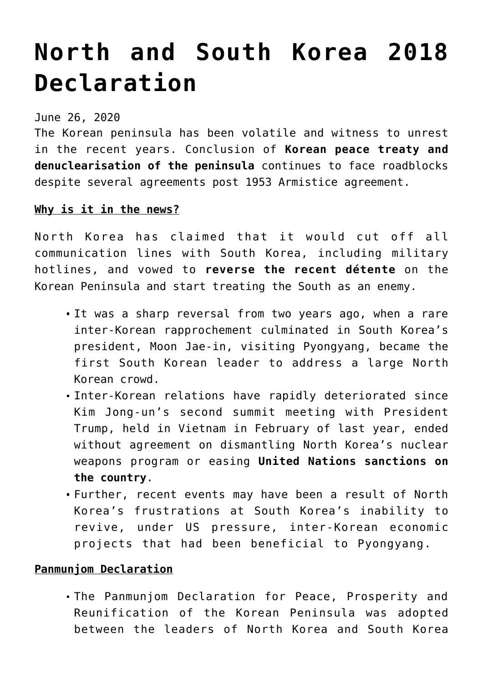## **[North and South Korea 2018](https://journalsofindia.com/north-and-south-korea-2018-declaration/) [Declaration](https://journalsofindia.com/north-and-south-korea-2018-declaration/)**

June 26, 2020

The Korean peninsula has been volatile and witness to unrest in the recent years. Conclusion of **Korean peace treaty and denuclearisation of the peninsula** continues to face roadblocks despite several agreements post 1953 Armistice agreement.

## **Why is it in the news?**

North Korea has claimed that it would cut off all communication lines with South Korea, including military hotlines, and vowed to **reverse the recent détente** on the Korean Peninsula and start treating the South as an enemy.

- It was a sharp reversal from two years ago, when a rare inter-Korean rapprochement culminated in South Korea's president, Moon Jae-in, visiting Pyongyang, became the first South Korean leader to address a large North Korean crowd.
- Inter-Korean relations have rapidly deteriorated since Kim Jong-un's second summit meeting with President Trump, held in Vietnam in February of last year, ended without agreement on dismantling North Korea's nuclear weapons program or easing **United Nations sanctions on the country**.
- Further, recent events may have been a result of North Korea's frustrations at South Korea's inability to revive, under US pressure, inter-Korean economic projects that had been beneficial to Pyongyang.

## **Panmunjom Declaration**

The Panmunjom Declaration for Peace, Prosperity and Reunification of the Korean Peninsula was adopted between the leaders of North Korea and South Korea